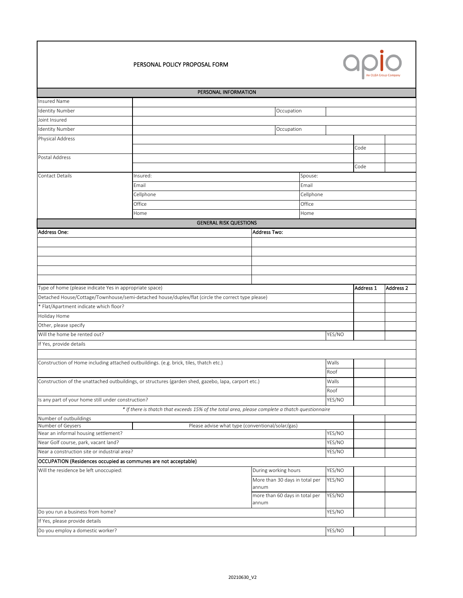



|                                                                 | PERSONAL INFORMATION                                                                                 |  |                                                  |  |        |           |                      |  |  |
|-----------------------------------------------------------------|------------------------------------------------------------------------------------------------------|--|--------------------------------------------------|--|--------|-----------|----------------------|--|--|
| Insured Name                                                    |                                                                                                      |  |                                                  |  |        |           |                      |  |  |
| <b>Identity Number</b>                                          |                                                                                                      |  | Occupation                                       |  |        |           |                      |  |  |
| Joint Insured                                                   |                                                                                                      |  |                                                  |  |        |           |                      |  |  |
| <b>Identity Number</b>                                          |                                                                                                      |  | Occupation                                       |  |        |           |                      |  |  |
| Physical Address                                                |                                                                                                      |  |                                                  |  |        |           |                      |  |  |
|                                                                 |                                                                                                      |  |                                                  |  |        | Code      |                      |  |  |
| Postal Address                                                  |                                                                                                      |  |                                                  |  |        |           |                      |  |  |
|                                                                 |                                                                                                      |  |                                                  |  |        | Code      |                      |  |  |
| <b>Contact Details</b>                                          | Insured:<br>Spouse:                                                                                  |  |                                                  |  |        |           |                      |  |  |
|                                                                 | Email<br>Email                                                                                       |  |                                                  |  |        |           |                      |  |  |
|                                                                 | Cellphone<br>Cellphone                                                                               |  |                                                  |  |        |           |                      |  |  |
|                                                                 | Office<br>Office                                                                                     |  |                                                  |  |        |           |                      |  |  |
|                                                                 |                                                                                                      |  |                                                  |  |        |           |                      |  |  |
|                                                                 | Home<br>Home<br><b>GENERAL RISK QUESTIONS</b>                                                        |  |                                                  |  |        |           |                      |  |  |
|                                                                 |                                                                                                      |  |                                                  |  |        |           |                      |  |  |
| <b>Address One:</b>                                             | <b>Address Two:</b>                                                                                  |  |                                                  |  |        |           |                      |  |  |
|                                                                 |                                                                                                      |  |                                                  |  |        |           |                      |  |  |
|                                                                 |                                                                                                      |  |                                                  |  |        |           |                      |  |  |
|                                                                 |                                                                                                      |  |                                                  |  |        |           |                      |  |  |
|                                                                 |                                                                                                      |  |                                                  |  |        |           |                      |  |  |
|                                                                 |                                                                                                      |  |                                                  |  |        |           |                      |  |  |
| Type of home (please indicate Yes in appropriate space)         |                                                                                                      |  |                                                  |  |        | Address 1 | Address <sub>2</sub> |  |  |
|                                                                 | Detached House/Cottage/Townhouse/semi-detached house/duplex/flat (circle the correct type please)    |  |                                                  |  |        |           |                      |  |  |
| * Flat/Apartment indicate which floor?                          |                                                                                                      |  |                                                  |  |        |           |                      |  |  |
| Holiday Home                                                    |                                                                                                      |  |                                                  |  |        |           |                      |  |  |
| Other, please specify                                           |                                                                                                      |  |                                                  |  |        |           |                      |  |  |
| Will the home be rented out?                                    |                                                                                                      |  |                                                  |  | YES/NO |           |                      |  |  |
| If Yes, provide details                                         |                                                                                                      |  |                                                  |  |        |           |                      |  |  |
|                                                                 |                                                                                                      |  |                                                  |  |        |           |                      |  |  |
|                                                                 | Construction of Home including attached outbuildings. (e.g. brick, tiles, thatch etc.)               |  |                                                  |  | Walls  |           |                      |  |  |
|                                                                 |                                                                                                      |  |                                                  |  | Roof   |           |                      |  |  |
|                                                                 | Construction of the unattached outbuildings, or structures (garden shed, gazebo, lapa, carport etc.) |  |                                                  |  | Walls  |           |                      |  |  |
|                                                                 |                                                                                                      |  |                                                  |  | Roof   |           |                      |  |  |
| Is any part of your home still under construction?              |                                                                                                      |  |                                                  |  | YES/NO |           |                      |  |  |
|                                                                 | * If there is thatch that exceeds 15% of the total area, please complete a thatch questionnaire      |  |                                                  |  |        |           |                      |  |  |
| Number of outbuildings                                          |                                                                                                      |  |                                                  |  |        |           |                      |  |  |
| Number of Geysers                                               |                                                                                                      |  | Please advise what type (conventional/solar/gas) |  |        |           |                      |  |  |
| Near an informal housing settlement?                            |                                                                                                      |  |                                                  |  | YES/NO |           |                      |  |  |
| Near Golf course, park, vacant land?                            |                                                                                                      |  |                                                  |  | YES/NO |           |                      |  |  |
| Near a construction site or industrial area?                    |                                                                                                      |  |                                                  |  | YES/NO |           |                      |  |  |
| OCCUPATION (Residences occupied as communes are not acceptable) |                                                                                                      |  |                                                  |  |        |           |                      |  |  |
| Will the residence be left unoccupied:                          |                                                                                                      |  | During working hours                             |  | YES/NO |           |                      |  |  |
|                                                                 |                                                                                                      |  | More than 30 days in total per                   |  | YES/NO |           |                      |  |  |
|                                                                 |                                                                                                      |  | annum                                            |  |        |           |                      |  |  |
|                                                                 |                                                                                                      |  | more than 60 days in total per                   |  | YES/NO |           |                      |  |  |
|                                                                 |                                                                                                      |  | annum                                            |  |        |           |                      |  |  |
| Do you run a business from home?                                |                                                                                                      |  |                                                  |  | YES/NO |           |                      |  |  |
| If Yes, please provide details                                  |                                                                                                      |  |                                                  |  |        |           |                      |  |  |
| Do you employ a domestic worker?                                |                                                                                                      |  |                                                  |  | YES/NO |           |                      |  |  |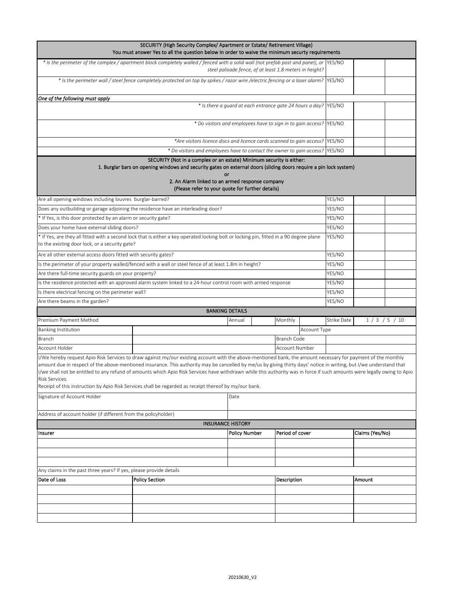|                                                                                   | SECURITY (High Security Complex/ Apartment or Estate/ Retirement Village)<br>You must answer Yes to all the question below in order to waive the minimum securty requirements                                                                                                                                                                                                                                                                                                                                                                                                                                              |                                                         |                 |              |             |                 |          |
|-----------------------------------------------------------------------------------|----------------------------------------------------------------------------------------------------------------------------------------------------------------------------------------------------------------------------------------------------------------------------------------------------------------------------------------------------------------------------------------------------------------------------------------------------------------------------------------------------------------------------------------------------------------------------------------------------------------------------|---------------------------------------------------------|-----------------|--------------|-------------|-----------------|----------|
|                                                                                   | * Is the perimeter of the complex / apartment block completely walled / fenced with a solid wall (not prefab post and panel), or \YES/NO                                                                                                                                                                                                                                                                                                                                                                                                                                                                                   | steel palisade fence, of at least 1.8 meters in height? |                 |              |             |                 |          |
|                                                                                   | * Is the perimeter wall / steel fence completely protected on top by spikes / razor wire /electric fencing or a laser alarm? YES/NO                                                                                                                                                                                                                                                                                                                                                                                                                                                                                        |                                                         |                 |              |             |                 |          |
| One of the following must apply                                                   |                                                                                                                                                                                                                                                                                                                                                                                                                                                                                                                                                                                                                            |                                                         |                 |              |             |                 |          |
|                                                                                   | * Is there a guard at each entrance gate 24 hours a day? YES/NO                                                                                                                                                                                                                                                                                                                                                                                                                                                                                                                                                            |                                                         |                 |              |             |                 |          |
|                                                                                   | * Do visitors and employees have to sign in to gain access?                                                                                                                                                                                                                                                                                                                                                                                                                                                                                                                                                                |                                                         |                 |              | YES/NO      |                 |          |
|                                                                                   | *Are visitors licence discs and licence cards scanned to gain access?                                                                                                                                                                                                                                                                                                                                                                                                                                                                                                                                                      |                                                         |                 |              | YES/NO      |                 |          |
|                                                                                   | * Do visitors and employees have to contact the owner to gain access?                                                                                                                                                                                                                                                                                                                                                                                                                                                                                                                                                      |                                                         |                 |              | YES/NO      |                 |          |
|                                                                                   | SECURITY (Not in a complex or an estate) Minimum security is either:<br>1. Burglar bars on opening windows and security gates on external doors (sliding doors require a pin lock system)<br>or<br>2. An Alarm linked to an armed response company<br>(Please refer to your quote for further details)                                                                                                                                                                                                                                                                                                                     |                                                         |                 |              |             |                 |          |
| Are all opening windows including louvres burglar-barred?                         |                                                                                                                                                                                                                                                                                                                                                                                                                                                                                                                                                                                                                            |                                                         |                 |              | YES/NO      |                 |          |
| Does any outbuilding or garage adjoining the residence have an interleading door? |                                                                                                                                                                                                                                                                                                                                                                                                                                                                                                                                                                                                                            |                                                         |                 |              | YES/NO      |                 |          |
| * If Yes, is this door protected by an alarm or security gate?                    |                                                                                                                                                                                                                                                                                                                                                                                                                                                                                                                                                                                                                            |                                                         |                 |              | YES/NO      |                 |          |
| Does your home have external sliding doors?                                       |                                                                                                                                                                                                                                                                                                                                                                                                                                                                                                                                                                                                                            |                                                         |                 |              | YES/NO      |                 |          |
| to the existing door lock, or a security gate?                                    | * If Yes, are they all fitted with a second lock that is either a key operated locking bolt or locking pin, fitted in a 90 degree plane                                                                                                                                                                                                                                                                                                                                                                                                                                                                                    |                                                         |                 |              | YES/NO      |                 |          |
| Are all other external access doors fitted with security gates?                   |                                                                                                                                                                                                                                                                                                                                                                                                                                                                                                                                                                                                                            |                                                         |                 |              | YES/NO      |                 |          |
|                                                                                   | Is the perimeter of your property walled/fenced with a wall or steel fence of at least 1.8m in height?                                                                                                                                                                                                                                                                                                                                                                                                                                                                                                                     |                                                         |                 |              | YES/NO      |                 |          |
| Are there full-time security guards on your property?                             |                                                                                                                                                                                                                                                                                                                                                                                                                                                                                                                                                                                                                            |                                                         |                 |              | YES/NO      |                 |          |
|                                                                                   | Is the residence protected with an approved alarm system linked to a 24-hour control room with armed response                                                                                                                                                                                                                                                                                                                                                                                                                                                                                                              |                                                         |                 |              | YES/NO      |                 |          |
| Is there electrical fencing on the perimeter wall?                                |                                                                                                                                                                                                                                                                                                                                                                                                                                                                                                                                                                                                                            |                                                         |                 |              | YES/NO      |                 |          |
| Are there beams in the garden?                                                    |                                                                                                                                                                                                                                                                                                                                                                                                                                                                                                                                                                                                                            |                                                         |                 |              | YES/NO      |                 |          |
|                                                                                   |                                                                                                                                                                                                                                                                                                                                                                                                                                                                                                                                                                                                                            | <b>BANKING DETAILS</b>                                  |                 |              |             |                 |          |
| Premium Payment Method                                                            |                                                                                                                                                                                                                                                                                                                                                                                                                                                                                                                                                                                                                            | Annual                                                  | Monthly         |              | Strike Date |                 | 1/3/5/10 |
| Banking Institution                                                               |                                                                                                                                                                                                                                                                                                                                                                                                                                                                                                                                                                                                                            |                                                         |                 | Account Type |             |                 |          |
| Branch                                                                            |                                                                                                                                                                                                                                                                                                                                                                                                                                                                                                                                                                                                                            |                                                         | Branch Code     |              |             |                 |          |
| Account Holder                                                                    |                                                                                                                                                                                                                                                                                                                                                                                                                                                                                                                                                                                                                            |                                                         | Account Number  |              |             |                 |          |
| Risk Services.                                                                    | I/We hereby request Apio Risk Services to draw against my/our existing account with the above-mentioned bank, the amount necessary for payment of the monthly<br>amount due in respect of the above-mentioned insurance. This authority may be cancelled by me/us by giving thirty days' notice in writing, but I/we understand that<br>I/we shall not be entitled to any refund of amounts which Apio Risk Services have withdrawn while this authority was in force if such amounts were legally owing to Apio<br>Receipt of this instruction by Apio Risk Services shall be regarded as receipt thereof by my/our bank. |                                                         |                 |              |             |                 |          |
| Signature of Account Holder<br>Date                                               |                                                                                                                                                                                                                                                                                                                                                                                                                                                                                                                                                                                                                            |                                                         |                 |              |             |                 |          |
| Address of account holder (if different from the policyholder)                    |                                                                                                                                                                                                                                                                                                                                                                                                                                                                                                                                                                                                                            |                                                         |                 |              |             |                 |          |
|                                                                                   | <b>INSURANCE HISTORY</b>                                                                                                                                                                                                                                                                                                                                                                                                                                                                                                                                                                                                   |                                                         |                 |              |             |                 |          |
| Insurer                                                                           |                                                                                                                                                                                                                                                                                                                                                                                                                                                                                                                                                                                                                            | <b>Policy Number</b>                                    | Period of cover |              |             | Claims (Yes/No) |          |
|                                                                                   |                                                                                                                                                                                                                                                                                                                                                                                                                                                                                                                                                                                                                            |                                                         |                 |              |             |                 |          |
|                                                                                   |                                                                                                                                                                                                                                                                                                                                                                                                                                                                                                                                                                                                                            |                                                         |                 |              |             |                 |          |
|                                                                                   |                                                                                                                                                                                                                                                                                                                                                                                                                                                                                                                                                                                                                            |                                                         |                 |              |             |                 |          |
| Any claims in the past three years? If yes, please provide details                |                                                                                                                                                                                                                                                                                                                                                                                                                                                                                                                                                                                                                            |                                                         |                 |              |             |                 |          |
| Date of Loss                                                                      | <b>Policy Section</b>                                                                                                                                                                                                                                                                                                                                                                                                                                                                                                                                                                                                      |                                                         | Description     |              |             | Amount          |          |
|                                                                                   |                                                                                                                                                                                                                                                                                                                                                                                                                                                                                                                                                                                                                            |                                                         |                 |              |             |                 |          |
|                                                                                   |                                                                                                                                                                                                                                                                                                                                                                                                                                                                                                                                                                                                                            |                                                         |                 |              |             |                 |          |
|                                                                                   |                                                                                                                                                                                                                                                                                                                                                                                                                                                                                                                                                                                                                            |                                                         |                 |              |             |                 |          |
|                                                                                   |                                                                                                                                                                                                                                                                                                                                                                                                                                                                                                                                                                                                                            |                                                         |                 |              |             |                 |          |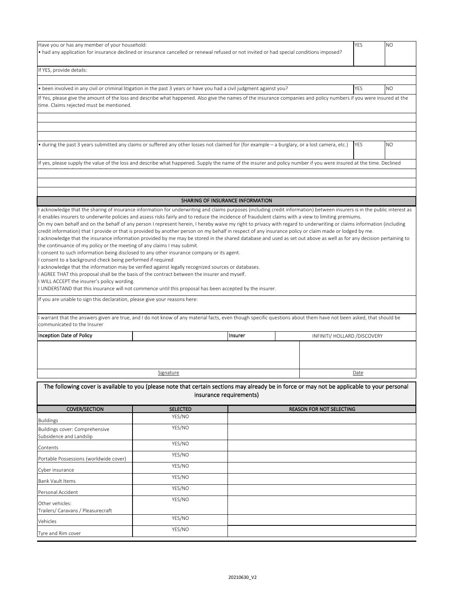| Have you or has any member of your household:<br>• had any application for insurance declined or insurance cancelled or renewal refused or not invited or had special conditions imposed?                                                                                                                                                                                                                                                                                                                                                                                                                                                                                                                                                                                                                                                         |                 |                                  |                                 | <b>YES</b>                    | N <sub>O</sub> |
|---------------------------------------------------------------------------------------------------------------------------------------------------------------------------------------------------------------------------------------------------------------------------------------------------------------------------------------------------------------------------------------------------------------------------------------------------------------------------------------------------------------------------------------------------------------------------------------------------------------------------------------------------------------------------------------------------------------------------------------------------------------------------------------------------------------------------------------------------|-----------------|----------------------------------|---------------------------------|-------------------------------|----------------|
| If YES, provide details:                                                                                                                                                                                                                                                                                                                                                                                                                                                                                                                                                                                                                                                                                                                                                                                                                          |                 |                                  |                                 |                               |                |
|                                                                                                                                                                                                                                                                                                                                                                                                                                                                                                                                                                                                                                                                                                                                                                                                                                                   |                 |                                  |                                 |                               |                |
| • been involved in any civil or criminal litigation in the past 3 years or have you had a civil judgment against you?                                                                                                                                                                                                                                                                                                                                                                                                                                                                                                                                                                                                                                                                                                                             |                 |                                  |                                 | YES                           | NO.            |
| If Yes, please give the amount of the loss and describe what happened. Also give the names of the insurance companies and policy numbers if you were insured at the<br>time. Claims rejected must be mentioned.                                                                                                                                                                                                                                                                                                                                                                                                                                                                                                                                                                                                                                   |                 |                                  |                                 |                               |                |
|                                                                                                                                                                                                                                                                                                                                                                                                                                                                                                                                                                                                                                                                                                                                                                                                                                                   |                 |                                  |                                 |                               |                |
|                                                                                                                                                                                                                                                                                                                                                                                                                                                                                                                                                                                                                                                                                                                                                                                                                                                   |                 |                                  |                                 |                               |                |
| • during the past 3 years submitted any claims or suffered any other losses not claimed for (for example – a burglary, or a lost camera, etc.)                                                                                                                                                                                                                                                                                                                                                                                                                                                                                                                                                                                                                                                                                                    |                 |                                  |                                 | YES                           | N <sub>O</sub> |
| If yes, please supply the value of the loss and describe what happened. Supply the name of the insurer and policy number if you were insured at the time. Declined                                                                                                                                                                                                                                                                                                                                                                                                                                                                                                                                                                                                                                                                                |                 |                                  |                                 |                               |                |
|                                                                                                                                                                                                                                                                                                                                                                                                                                                                                                                                                                                                                                                                                                                                                                                                                                                   |                 |                                  |                                 |                               |                |
|                                                                                                                                                                                                                                                                                                                                                                                                                                                                                                                                                                                                                                                                                                                                                                                                                                                   |                 |                                  |                                 |                               |                |
|                                                                                                                                                                                                                                                                                                                                                                                                                                                                                                                                                                                                                                                                                                                                                                                                                                                   |                 | SHARING OF INSURANCE INFORMATION |                                 |                               |                |
| acknowledge that the sharing of insurance information for underwriting and claims purposes (including credit information) between insurers is in the public interest as                                                                                                                                                                                                                                                                                                                                                                                                                                                                                                                                                                                                                                                                           |                 |                                  |                                 |                               |                |
| acknowledge that the insurance information provided by me may be stored in the shared database and used as set out above as well as for any decision pertaining to<br>the continuance of my policy or the meeting of any claims I may submit.<br>consent to such information being disclosed to any other insurance company or its agent.<br>consent to a background check being performed if required<br>acknowledge that the information may be verified against legally recognized sources or databases.<br>AGREE THAT this proposal shall be the basis of the contract between the insurer and myself.<br>WILL ACCEPT the insurer's policy wording.<br>I UNDERSTAND that this insurance will not commence until this proposal has been accepted by the insurer.<br>If you are unable to sign this declaration, please give your reasons here: |                 |                                  |                                 |                               |                |
| warrant that the answers given are true, and I do not know of any material facts, even though specific questions about them have not been asked, that should be                                                                                                                                                                                                                                                                                                                                                                                                                                                                                                                                                                                                                                                                                   |                 |                                  |                                 |                               |                |
| communicated to the Insurer                                                                                                                                                                                                                                                                                                                                                                                                                                                                                                                                                                                                                                                                                                                                                                                                                       |                 |                                  |                                 |                               |                |
|                                                                                                                                                                                                                                                                                                                                                                                                                                                                                                                                                                                                                                                                                                                                                                                                                                                   |                 |                                  |                                 |                               |                |
| Inception Date of Policy                                                                                                                                                                                                                                                                                                                                                                                                                                                                                                                                                                                                                                                                                                                                                                                                                          |                 | Insurer                          |                                 | INFINITI/ HOLLARD / DISCOVERY |                |
|                                                                                                                                                                                                                                                                                                                                                                                                                                                                                                                                                                                                                                                                                                                                                                                                                                                   |                 |                                  |                                 |                               |                |
|                                                                                                                                                                                                                                                                                                                                                                                                                                                                                                                                                                                                                                                                                                                                                                                                                                                   | Signature       |                                  |                                 | Date                          |                |
| The following cover is available to you (please note that certain sections may already be in force or may not be applicable to your personal                                                                                                                                                                                                                                                                                                                                                                                                                                                                                                                                                                                                                                                                                                      |                 | insurance requirements)          |                                 |                               |                |
| <b>COVER/SECTION</b>                                                                                                                                                                                                                                                                                                                                                                                                                                                                                                                                                                                                                                                                                                                                                                                                                              | <b>SELECTED</b> |                                  | <b>REASON FOR NOT SELECTING</b> |                               |                |
| <b>Buildings</b>                                                                                                                                                                                                                                                                                                                                                                                                                                                                                                                                                                                                                                                                                                                                                                                                                                  | YES/NO          |                                  |                                 |                               |                |
| Buildings cover: Comprehensive<br>Subsidence and Landslip                                                                                                                                                                                                                                                                                                                                                                                                                                                                                                                                                                                                                                                                                                                                                                                         | YES/NO          |                                  |                                 |                               |                |
| Contents                                                                                                                                                                                                                                                                                                                                                                                                                                                                                                                                                                                                                                                                                                                                                                                                                                          | YES/NO          |                                  |                                 |                               |                |
| Portable Possessions (worldwide cover)                                                                                                                                                                                                                                                                                                                                                                                                                                                                                                                                                                                                                                                                                                                                                                                                            | YES/NO          |                                  |                                 |                               |                |
| Cyber insurance                                                                                                                                                                                                                                                                                                                                                                                                                                                                                                                                                                                                                                                                                                                                                                                                                                   | YES/NO          |                                  |                                 |                               |                |
| Bank Vault Items                                                                                                                                                                                                                                                                                                                                                                                                                                                                                                                                                                                                                                                                                                                                                                                                                                  | YES/NO          |                                  |                                 |                               |                |
| Personal Accident                                                                                                                                                                                                                                                                                                                                                                                                                                                                                                                                                                                                                                                                                                                                                                                                                                 | YES/NO          |                                  |                                 |                               |                |
| Other vehicles:<br>Trailers/ Caravans / Pleasurecraft                                                                                                                                                                                                                                                                                                                                                                                                                                                                                                                                                                                                                                                                                                                                                                                             | YES/NO          |                                  |                                 |                               |                |
| Vehicles                                                                                                                                                                                                                                                                                                                                                                                                                                                                                                                                                                                                                                                                                                                                                                                                                                          | YES/NO          |                                  |                                 |                               |                |